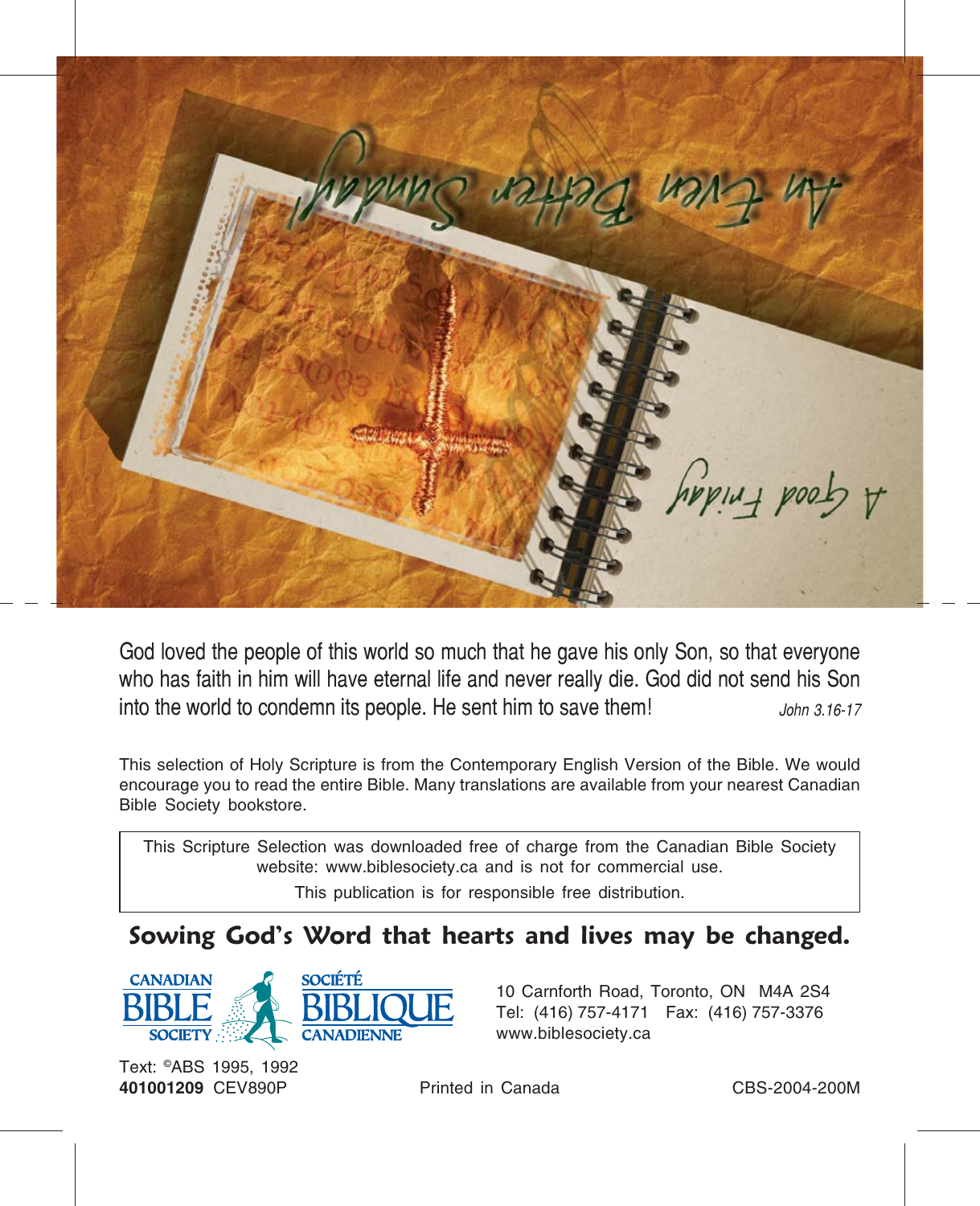

God loved the people of this world so much that he gave his only Son, so that everyone who has faith in him will have eternal life and never really die. God did not send his Son into the world to condemn its people. He sent him to save them! John 3.16-17

This selection of Holy Scripture is from the Contemporary English Version of the Bible. We would encourage you to read the entire Bible. Many translations are available from your nearest Canadian Bible Society bookstore.

This Scripture Selection was downloaded free of charge from the Canadian Bible Society website: www.biblesociety.ca and is not for commercial use.

This publication is for responsible free distribution.

## Sowing God's Word that hearts and lives may be changed.



10 Carnforth Road, Toronto, ON M4A 2S4 Tel: (416) 757-4171 Fax: (416) 757-3376 www.biblesociety.ca

Text: ©ABS 1995, 1992 401001209 CEV890P Printed in Canada CBS-2004-200M